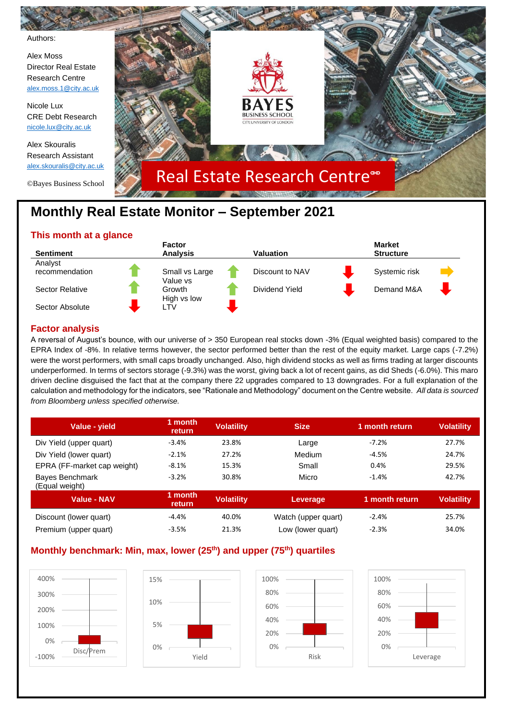

# **Monthly Real Estate Monitor – September 2021**

# **This month at a glance**



# **Factor analysis**

A reversal of August's bounce, with our universe of > 350 European real stocks down -3% (Equal weighted basis) compared to the EPRA Index of -8%. In relative terms however, the sector performed better than the rest of the equity market. Large caps (-7.2%) were the worst performers, with small caps broadly unchanged. Also, high dividend stocks as well as firms trading at larger discounts underperformed. In terms of sectors storage (-9.3%) was the worst, giving back a lot of recent gains, as did Sheds (-6.0%). This maro driven decline disguised the fact that at the company there 22 upgrades compared to 13 downgrades. For a full explanation of the calculation and methodology for the indicators, see "Rationale and Methodology" document on the Centre website. *All data is sourced from Bloomberg unless specified otherwise.*

| Value - vield                            | 1 month<br>return | <b>Volatility</b> | <b>Size</b>         | 1 month return | <b>Volatility</b> |
|------------------------------------------|-------------------|-------------------|---------------------|----------------|-------------------|
| Div Yield (upper quart)                  | $-3.4%$           | 23.8%             | Large               | $-7.2%$        | 27.7%             |
| Div Yield (lower quart)                  | $-2.1%$           | 27.2%             | Medium              | $-4.5%$        | 24.7%             |
| EPRA (FF-market cap weight)              | $-8.1%$           | 15.3%             | Small               | 0.4%           | 29.5%             |
| <b>Bayes Benchmark</b><br>(Equal weight) | $-3.2%$           | 30.8%             | Micro               | $-1.4%$        | 42.7%             |
| <b>Value - NAV</b>                       | 1 month<br>return | <b>Volatility</b> | Leverage            | 1 month return | <b>Volatility</b> |
| Discount (lower quart)                   | $-4.4%$           | 40.0%             | Watch (upper quart) | $-2.4%$        | 25.7%             |
| Premium (upper quart)                    | $-3.5%$           | 21.3%             | Low (lower quart)   | $-2.3%$        | 34.0%             |

# **Monthly benchmark: Min, max, lower (25th) and upper (75th) quartiles**

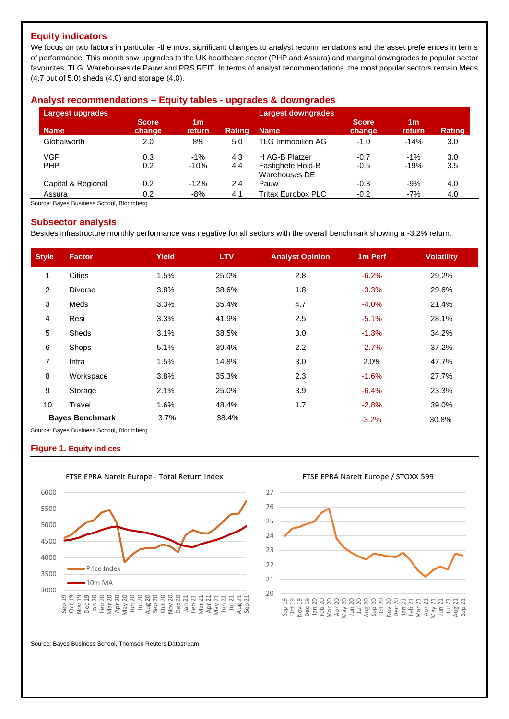# **Equity indicators**

We focus on two factors in particular -the most significant changes to analyst recommendations and the asset preferences in terms of performance. This month saw upgrades to the UK healthcare sector (PHP and Assura) and marginal downgrades to popular sector favourites TLG, Warehouses de Pauw and PRS REIT. In terms of analyst recommendations, the most popular sectors remain Meds (4.7 out of 5.0) sheds (4.0) and storage (4.0).

# **Analyst recommendations – Equity tables - upgrades & downgrades**

| Largest upgrades   |                        |                          |               | <b>Largest downgrades</b>          |                        |                          |               |  |  |
|--------------------|------------------------|--------------------------|---------------|------------------------------------|------------------------|--------------------------|---------------|--|--|
| <b>Name</b>        | <b>Score</b><br>change | 1 <sub>m</sub><br>return | <b>Rating</b> | <b>Name</b>                        | <b>Score</b><br>change | 1 <sub>m</sub><br>return | <b>Rating</b> |  |  |
| Globalworth        | 2.0                    | 8%                       | 5.0           | TLG Immobilien AG                  | $-1.0$                 | $-14%$                   | 3.0           |  |  |
| <b>VGP</b>         | 0.3                    | $-1%$                    | 4.3           | H AG-B Platzer                     | $-0.7$                 | $-1%$                    | 3.0           |  |  |
| <b>PHP</b>         | 0.2                    | $-10%$                   | 4.4           | Fastighete Hold-B<br>Warehouses DE | $-0.5$                 | $-19%$                   | 3.5           |  |  |
| Capital & Regional | 0.2                    | $-12%$                   | 2.4           | Pauw                               | $-0.3$                 | $-9%$                    | 4.0           |  |  |
| Assura             | 0.2                    | $-8%$                    | 4.1           | <b>Tritax Eurobox PLC</b>          | $-0.2$                 | $-7%$                    | 4.0           |  |  |

Source: Bayes Business School, Bloomberg

### **Subsector analysis**

Besides infrastructure monthly performance was negative for all sectors with the overall benchmark showing a -3.2% return.

| <b>Style</b>   | <b>Factor</b>          | <b>Yield</b> | <b>LTV</b> | <b>Analyst Opinion</b> | 1 <sub>m</sub> Perf | <b>Volatility</b> |
|----------------|------------------------|--------------|------------|------------------------|---------------------|-------------------|
| $\mathbf{1}$   | <b>Cities</b>          | 1.5%         | 25.0%      | 2.8                    | $-6.2%$             | 29.2%             |
| $\overline{2}$ | <b>Diverse</b>         | 3.8%         | 38.6%      | 1.8                    | $-3.3%$             | 29.6%             |
| 3              | Meds                   | 3.3%         | 35.4%      | 4.7                    | $-4.0%$             | 21.4%             |
| 4              | Resi                   | 3.3%         | 41.9%      | 2.5                    | $-5.1%$             | 28.1%             |
| 5              | <b>Sheds</b>           | 3.1%         | 38.5%      | 3.0                    | $-1.3%$             | 34.2%             |
| 6              | Shops                  | 5.1%         | 39.4%      | 2.2                    | $-2.7%$             | 37.2%             |
| 7              | Infra                  | 1.5%         | 14.8%      | 3.0                    | 2.0%                | 47.7%             |
| 8              | Workspace              | 3.8%         | 35.3%      | 2.3                    | $-1.6%$             | 27.7%             |
| 9              | Storage                | 2.1%         | 25.0%      | 3.9                    | $-6.4%$             | 23.3%             |
| 10             | Travel                 | 1.6%         | 48.4%      | 1.7                    | $-2.8%$             | 39.0%             |
|                | <b>Bayes Benchmark</b> | 3.7%         | 38.4%      |                        | $-3.2%$             | 30.8%             |

Source: Bayes Business School, Bloomberg

#### **Figure 1. Equity indices**



Source: Bayes Business School, Thomson Reuters Datastream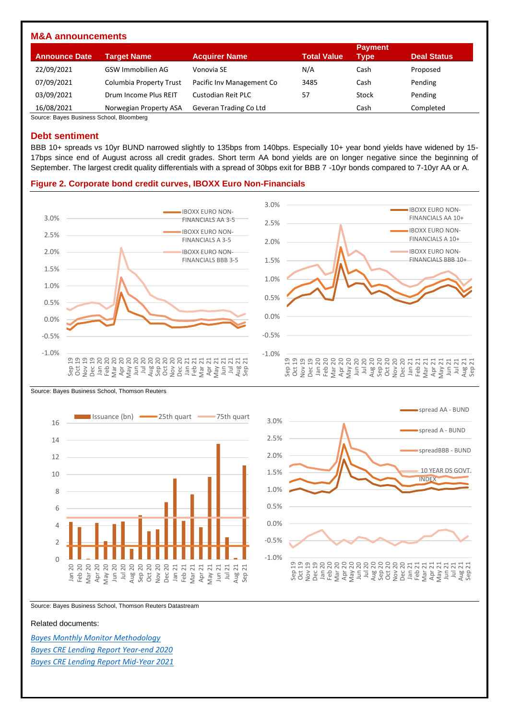| <b>M&amp;A announcements</b> |                         |                           |                    |                        |                    |
|------------------------------|-------------------------|---------------------------|--------------------|------------------------|--------------------|
| <b>Announce Date</b>         | Target Name             | <b>Acquirer Name</b>      | <b>Total Value</b> | <b>Payment</b><br>Type | <b>Deal Status</b> |
| 22/09/2021                   | GSW Immobilien AG       | Vonovia SE                | N/A                | Cash                   | Proposed           |
| 07/09/2021                   | Columbia Property Trust | Pacific Inv Management Co | 3485               | Cash                   | Pending            |
| 03/09/2021                   | Drum Income Plus REIT   | Custodian Reit PLC        | 57                 | Stock                  | Pending            |
| 16/08/2021                   | Norwegian Property ASA  | Geveran Trading Co Ltd    |                    | Cash                   | Completed          |

Source: Bayes Business School, Bloomberg

#### **Debt sentiment**

BBB 10+ spreads vs 10yr BUND narrowed slightly to 135bps from 140bps. Especially 10+ year bond yields have widened by 15- 17bps since end of August across all credit grades. Short term AA bond yields are on longer negative since the beginning of September. The largest credit quality differentials with a spread of 30bps exit for BBB 7 -10yr bonds compared to 7-10yr AA or A.

#### **Figure 2. Corporate bond credit curves, IBOXX Euro Non-Financials**









Source: Bayes Business School, Thomson Reuters Datastream

#### Related documents:

*[Bayes Monthly Monitor Methodology](https://www.bayes.city.ac.uk/__data/assets/pdf_file/0006/641157/bayes-market-monitor-methodology-document.pdf) [Bayes CRE Lending Report Year-end 2020](https://estore.city.ac.uk/product-catalogue/publications/publications/the-commercial-real-estate-lending-report-excel-data-package-yearend-2020) [Bayes CRE Lending Report Mid-Year 2021](https://estore.city.ac.uk/product-catalogue/publications/publications/the-commercial-real-estate-lending-report-excel-data-package-midyear-2021)*